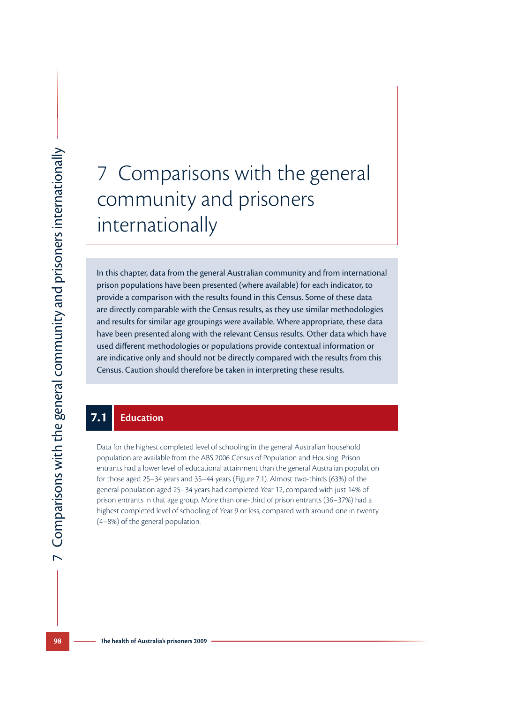# 7 Comparisons with the general community and prisoners internationally

In this chapter, data from the general Australian community and from international prison populations have been presented (where available) for each indicator, to provide a comparison with the results found in this Census. Some of these data are directly comparable with the Census results, as they use similar methodologies and results for similar age groupings were available. Where appropriate, these data have been presented along with the relevant Census results. Other data which have used different methodologies or populations provide contextual information or are indicative only and should not be directly compared with the results from this Census. Caution should therefore be taken in interpreting these results.

#### **7.1 Education**

Data for the highest completed level of schooling in the general Australian household population are available from the ABS 2006 Census of Population and Housing. Prison entrants had a lower level of educational attainment than the general Australian population for those aged 25–34 years and 35–44 years (Figure 7.1). Almost two-thirds (63%) of the general population aged 25–34 years had completed Year 12, compared with just 14% of prison entrants in that age group. More than one-third of prison entrants (36–37%) had a highest completed level of schooling of Year 9 or less, compared with around one in twenty (4–8%) of the general population.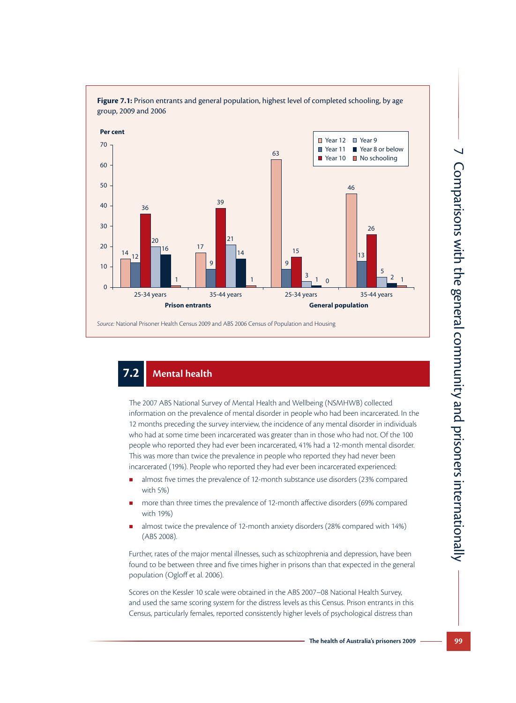

Figure 7.1: Prison entrants and general population, highest level of completed schooling, by age group, 2009 and 2006

# **7.2 Mental health**

The 2007 ABS National Survey of Mental Health and Wellbeing (NSMHWB) collected information on the prevalence of mental disorder in people who had been incarcerated. In the 12 months preceding the survey interview, the incidence of any mental disorder in individuals who had at some time been incarcerated was greater than in those who had not. Of the 100 people who reported they had ever been incarcerated, 41% had a 12-month mental disorder. This was more than twice the prevalence in people who reported they had never been incarcerated (19%). People who reported they had ever been incarcerated experienced:

- almost five times the prevalence of 12-month substance use disorders (23% compared with 5%)
- more than three times the prevalence of 12-month affective disorders (69% compared with 19%)
- **a** almost twice the prevalence of 12-month anxiety disorders (28% compared with 14%) (ABS 2008).

Further, rates of the major mental illnesses, such as schizophrenia and depression, have been found to be between three and five times higher in prisons than that expected in the general population (Ogloff et al. 2006).

Scores on the Kessler 10 scale were obtained in the ABS 2007–08 National Health Survey, and used the same scoring system for the distress levels as this Census. Prison entrants in this Census, particularly females, reported consistently higher levels of psychological distress than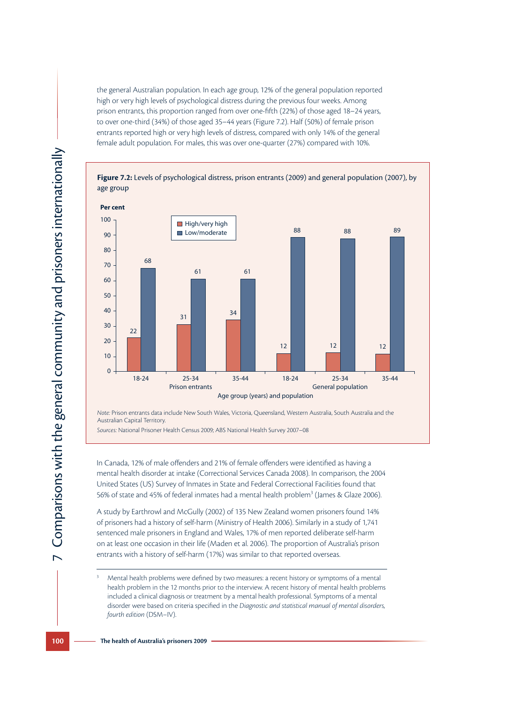the general Australian population. In each age group, 12% of the general population reported high or very high levels of psychological distress during the previous four weeks. Among prison entrants, this proportion ranged from over one-fifth (22%) of those aged 18–24 years, to over one-third (34%) of those aged 35–44 years (Figure 7.2). Half (50%) of female prison entrants reported high or very high levels of distress, compared with only 14% of the general female adult population. For males, this was over one-quarter (27%) compared with 10%.



*Note:* Prison entrants data include New South Wales, Victoria, Queensland, Western Australia, South Australia and the Australian Capital Territory.

*Sources:* National Prisoner Health Census 2009; ABS National Health Survey 2007–08

In Canada, 12% of male offenders and 21% of female offenders were identified as having a mental health disorder at intake (Correctional Services Canada 2008). In comparison, the 2004 United States (US) Survey of Inmates in State and Federal Correctional Facilities found that 56% of state and 45% of federal inmates had a mental health problem<sup>3</sup> (James & Glaze 2006).

A study by Earthrowl and McGully (2002) of 135 New Zealand women prisoners found 14% of prisoners had a history of self-harm (Ministry of Health 2006). Similarly in a study of 1,741 sentenced male prisoners in England and Wales, 17% of men reported deliberate self-harm on at least one occasion in their life (Maden et al. 2006). The proportion of Australia's prison entrants with a history of self-harm (17%) was similar to that reported overseas.

<sup>3</sup> Mental health problems were defined by two measures: a recent history or symptoms of a mental health problem in the 12 months prior to the interview. A recent history of mental health problems included a clinical diagnosis or treatment by a mental health professional. Symptoms of a mental disorder were based on criteria specified in the *Diagnostic and statistical manual of mental disorders, fourth edition* (DSM–IV).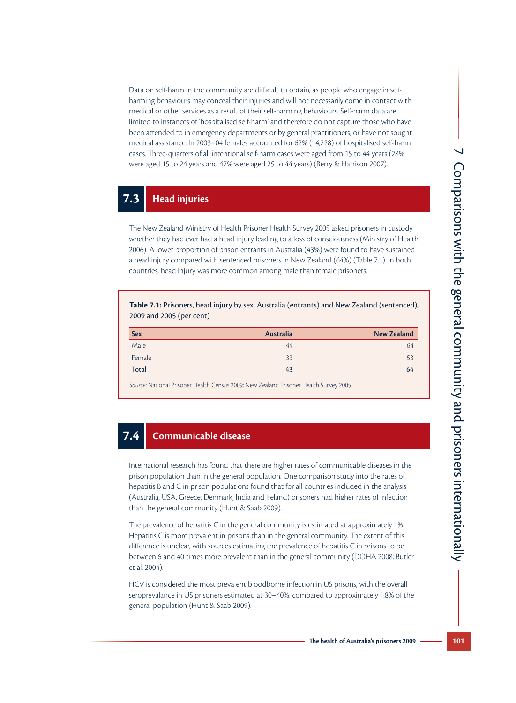Data on self-harm in the community are difficult to obtain, as people who engage in selfharming behaviours may conceal their injuries and will not necessarily come in contact with medical or other services as a result of their self-harming behaviours. Self-harm data are limited to instances of 'hospitalised self-harm' and therefore do not capture those who have been attended to in emergency departments or by general practitioners, or have not sought medical assistance. In 2003–04 females accounted for 62% (14,228) of hospitalised self-harm cases. Three-quarters of all intentional self-harm cases were aged from 15 to 44 years (28% were aged 15 to 24 years and 47% were aged 25 to 44 years) (Berry & Harrison 2007).

#### **7.3 Head injuries**

The New Zealand Ministry of Health Prisoner Health Survey 2005 asked prisoners in custody whether they had ever had a head injury leading to a loss of consciousness (Ministry of Health 2006). A lower proportion of prison entrants in Australia (43%) were found to have sustained a head injury compared with sentenced prisoners in New Zealand (64%) (Table 7.1). In both countries, head injury was more common among male than female prisoners.

**Table 7.1:** Prisoners, head injury by sex, Australia (entrants) and New Zealand (sentenced), 2009 and 2005 (per cent)

| <b>Sex</b>   | Australia | <b>New Zealand</b> |
|--------------|-----------|--------------------|
| Male         | 44        | 64                 |
| Female       | 33        | 53                 |
| <b>Total</b> | 43        | 64                 |

*Source:* National Prisoner Health Census 2009; New Zealand Prisoner Health Survey 2005.

#### **7.4 Communicable disease**

International research has found that there are higher rates of communicable diseases in the prison population than in the general population. One comparison study into the rates of hepatitis B and C in prison populations found that for all countries included in the analysis (Australia, USA, Greece, Denmark, India and Ireland) prisoners had higher rates of infection than the general community (Hunt & Saab 2009).

The prevalence of hepatitis C in the general community is estimated at approximately 1%. Hepatitis C is more prevalent in prisons than in the general community. The extent of this difference is unclear, with sources estimating the prevalence of hepatitis C in prisons to be between 6 and 40 times more prevalent than in the general community (DOHA 2008; Butler et al. 2004).

HCV is considered the most prevalent bloodborne infection in US prisons, with the overall seroprevalance in US prisoners estimated at 30–40%, compared to approximately 1.8% of the general population (Hunt & Saab 2009).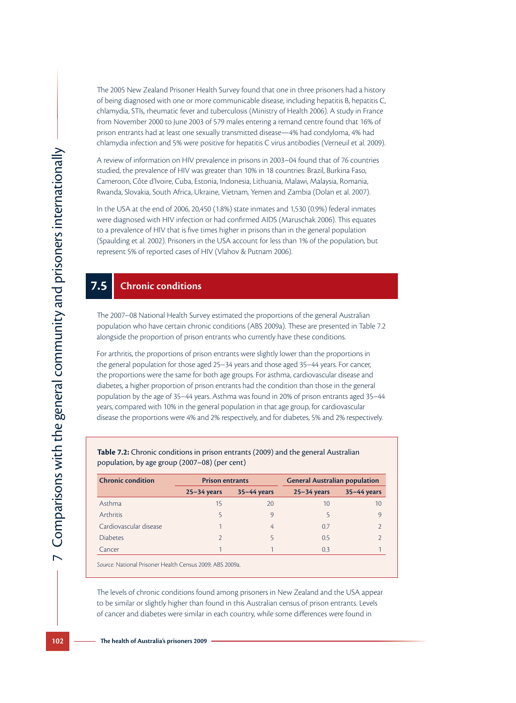The 2005 New Zealand Prisoner Health Survey found that one in three prisoners had a history of being diagnosed with one or more communicable disease, including hepatitis B, hepatitis C, chlamydia, STIs, rheumatic fever and tuberculosis (Ministry of Health 2006). A study in France from November 2000 to June 2003 of 579 males entering a remand centre found that 16% of prison entrants had at least one sexually transmitted disease—4% had condyloma, 4% had chlamydia infection and 5% were positive for hepatitis C virus antibodies (Verneuil et al. 2009).

A review of information on HIV prevalence in prisons in 2003–04 found that of 76 countries studied, the prevalence of HIV was greater than 10% in 18 countries: Brazil, Burkina Faso, Cameroon, Côte d'Ivoire, Cuba, Estonia, Indonesia, Lithuania, Malawi, Malaysia, Romania, Rwanda, Slovakia, South Africa, Ukraine, Vietnam, Yemen and Zambia (Dolan et al. 2007).

In the USA at the end of 2006, 20,450 (1.8%) state inmates and 1,530 (0.9%) federal inmates were diagnosed with HIV infection or had confirmed AIDS (Maruschak 2006). This equates to a prevalence of HIV that is five times higher in prisons than in the general population (Spaulding et al. 2002). Prisoners in the USA account for less than 1% of the population, but represent 5% of reported cases of HIV (Vlahov & Putnam 2006).

### **7.5 Chronic conditions**

The 2007–08 National Health Survey estimated the proportions of the general Australian population who have certain chronic conditions (ABS 2009a). These are presented in Table 7.2 alongside the proportion of prison entrants who currently have these conditions.

For arthritis, the proportions of prison entrants were slightly lower than the proportions in the general population for those aged 25–34 years and those aged 35–44 years. For cancer, the proportions were the same for both age groups. For asthma, cardiovascular disease and diabetes, a higher proportion of prison entrants had the condition than those in the general population by the age of 35–44 years. Asthma was found in 20% of prison entrants aged 35–44 years, compared with 10% in the general population in that age group, for cardiovascular disease the proportions were 4% and 2% respectively, and for diabetes, 5% and 2% respectively.

| <b>Chronic condition</b> | <b>Prison entrants</b> |                 | <b>General Australian population</b> |                 |  |
|--------------------------|------------------------|-----------------|--------------------------------------|-----------------|--|
|                          | $25 - 34$ years        | $35 - 44$ years | $25 - 34$ years                      | $35 - 44$ years |  |
| Asthma                   | 15                     | 20              | 10                                   | 10              |  |
| <b>Arthritis</b>         |                        | O)              |                                      | O)              |  |
| Cardiovascular disease   |                        | 4               | 0.7                                  |                 |  |
| <b>Diabetes</b>          | つ                      |                 | 0.5                                  |                 |  |
| Cancer                   |                        |                 | 0.3                                  |                 |  |

#### **Table 7.2:** Chronic conditions in prison entrants (2009) and the general Australian population, by age group (2007–08) (per cent)

*Source:* National Prisoner Health Census 2009; ABS 2009a.

The levels of chronic conditions found among prisoners in New Zealand and the USA appear to be similar or slightly higher than found in this Australian census of prison entrants. Levels of cancer and diabetes were similar in each country, while some differences were found in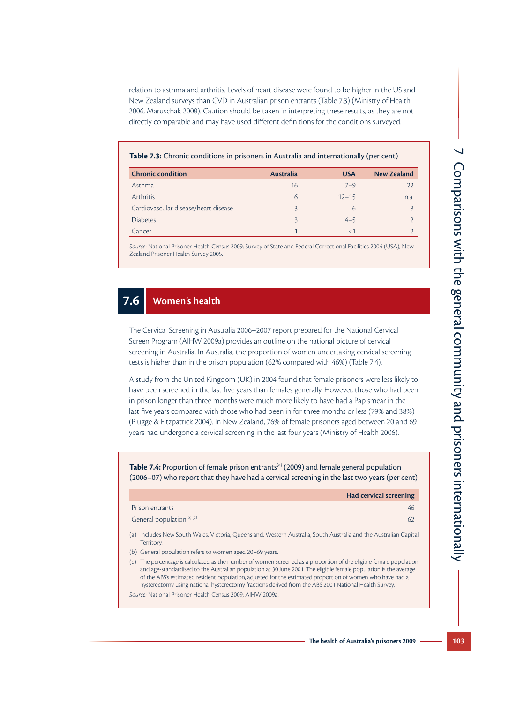relation to asthma and arthritis. Levels of heart disease were found to be higher in the US and New Zealand surveys than CVD in Australian prison entrants (Table 7.3) (Ministry of Health 2006, Maruschak 2008). Caution should be taken in interpreting these results, as they are not directly comparable and may have used different definitions for the conditions surveyed.

#### **Table 7.3:** Chronic conditions in prisoners in Australia and internationally (per cent)

| <b>Chronic condition</b>             | <b>Australia</b> | <b>USA</b> | <b>New Zealand</b> |
|--------------------------------------|------------------|------------|--------------------|
| Asthma                               | 16               | $7 - 9$    | 22                 |
| <b>Arthritis</b>                     | 6                | $12 - 15$  | n.a.               |
| Cardiovascular disease/heart disease | ₹                | 6          | 8                  |
| <b>Diabetes</b>                      | 2                | $4 - 5$    |                    |
| Cancer                               |                  |            |                    |

*Source:* National Prisoner Health Census 2009; Survey of State and Federal Correctional Facilities 2004 (USA); New Zealand Prisoner Health Survey 2005.

### **7.6 Women's health**

The Cervical Screening in Australia 2006–2007 report prepared for the National Cervical Screen Program (AIHW 2009a) provides an outline on the national picture of cervical screening in Australia. In Australia, the proportion of women undertaking cervical screening tests is higher than in the prison population (62% compared with 46%) (Table 7.4).

A study from the United Kingdom (UK) in 2004 found that female prisoners were less likely to have been screened in the last five years than females generally. However, those who had been in prison longer than three months were much more likely to have had a Pap smear in the last five years compared with those who had been in for three months or less (79% and 38%) (Plugge & Fitzpatrick 2004). In New Zealand, 76% of female prisoners aged between 20 and 69 years had undergone a cervical screening in the last four years (Ministry of Health 2006).

**Table 7.4:** Proportion of female prison entrants<sup>(a)</sup> (2009) and female general population (2006–07) who report that they have had a cervical screening in the last two years (per cent)

|                                                                                                                                                                                                                                                                                                                                                        | <b>Had cervical screening</b> |
|--------------------------------------------------------------------------------------------------------------------------------------------------------------------------------------------------------------------------------------------------------------------------------------------------------------------------------------------------------|-------------------------------|
| Prison entrants                                                                                                                                                                                                                                                                                                                                        | 46                            |
| General population <sup>(b) (c)</sup>                                                                                                                                                                                                                                                                                                                  | 62                            |
| Includes New South Wales, Victoria, Queensland, Western Australia, South Australia and the Australian Capital<br>(a)<br>Territory.                                                                                                                                                                                                                     |                               |
| (b) General population refers to women aged 20–69 years.                                                                                                                                                                                                                                                                                               |                               |
| The percentage is calculated as the number of women screened as a proportion of the eligible female population<br>(C)<br>and age-standardised to the Australian population at 30 June 2001. The eligible female population is the average<br>of the ABS's estimated resident population, adjusted for the estimated proportion of women who have had a |                               |

hysterectomy using national hysterectomy fractions derived from the ABS 2001 National Health Survey. *Source:* National Prisoner Health Census 2009; AIHW 2009a.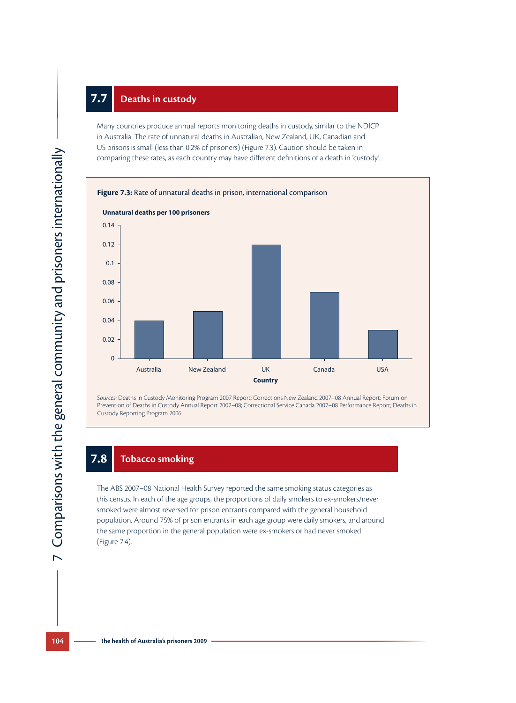## **7.7 Deaths in custody**

Many countries produce annual reports monitoring deaths in custody, similar to the NDICP in Australia. The rate of unnatural deaths in Australian, New Zealand, UK, Canadian and US prisons is small (less than 0.2% of prisoners) (Figure 7.3). Caution should be taken in comparing these rates, as each country may have different definitions of a death in 'custody'.



*Sources:* Deaths in Custody Monitoring Program 2007 Report; Corrections New Zealand 2007–08 Annual Report; Forum on Prevention of Deaths in Custody Annual Report 2007–08; Correctional Service Canada 2007–08 Performance Report; Deaths in Custody Reporting Program 2006.

#### **7.8 Tobacco smoking**

The ABS 2007–08 National Health Survey reported the same smoking status categories as this census. In each of the age groups, the proportions of daily smokers to ex-smokers/never smoked were almost reversed for prison entrants compared with the general household population. Around 75% of prison entrants in each age group were daily smokers, and around the same proportion in the general population were ex-smokers or had never smoked (Figure 7.4).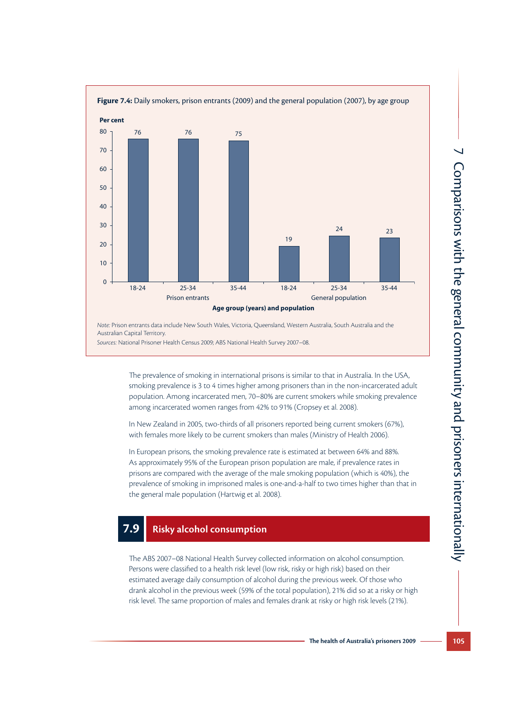

*Sources:* National Prisoner Health Census 2009; ABS National Health Survey 2007–08.

The prevalence of smoking in international prisons is similar to that in Australia. In the USA, smoking prevalence is 3 to 4 times higher among prisoners than in the non-incarcerated adult population. Among incarcerated men, 70–80% are current smokers while smoking prevalence among incarcerated women ranges from 42% to 91% (Cropsey et al. 2008).

In New Zealand in 2005, two-thirds of all prisoners reported being current smokers (67%), with females more likely to be current smokers than males (Ministry of Health 2006).

In European prisons, the smoking prevalence rate is estimated at between 64% and 88%. As approximately 95% of the European prison population are male, if prevalence rates in prisons are compared with the average of the male smoking population (which is 40%), the prevalence of smoking in imprisoned males is one-and-a-half to two times higher than that in the general male population (Hartwig et al. 2008).

#### **7.9 Risky alcohol consumption**

The ABS 2007–08 National Health Survey collected information on alcohol consumption. Persons were classified to a health risk level (low risk, risky or high risk) based on their estimated average daily consumption of alcohol during the previous week. Of those who drank alcohol in the previous week (59% of the total population), 21% did so at a risky or high risk level. The same proportion of males and females drank at risky or high risk levels (21%).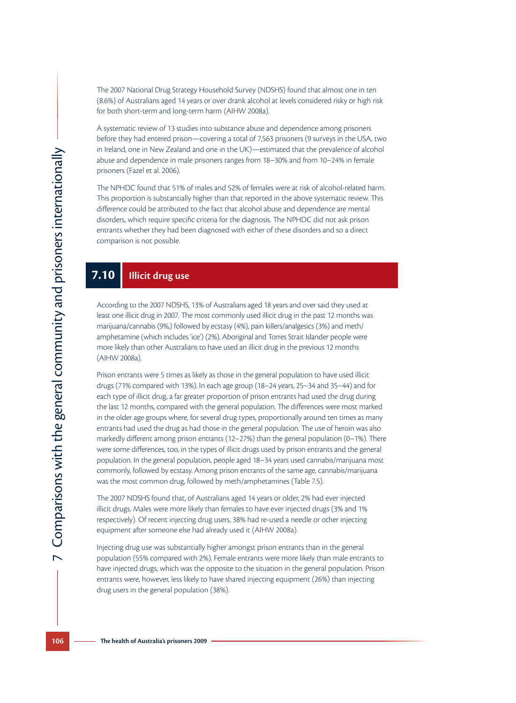The 2007 National Drug Strategy Household Survey (NDSHS) found that almost one in ten (8.6%) of Australians aged 14 years or over drank alcohol at levels considered risky or high risk for both short-term and long-term harm (AIHW 2008a).

A systematic review of 13 studies into substance abuse and dependence among prisoners before they had entered prison—covering a total of 7,563 prisoners (9 surveys in the USA, two in Ireland, one in New Zealand and one in the UK)—estimated that the prevalence of alcohol abuse and dependence in male prisoners ranges from 18–30% and from 10–24% in female prisoners (Fazel et al. 2006).

The NPHDC found that 51% of males and 52% of females were at risk of alcohol-related harm. This proportion is substantially higher than that reported in the above systematic review. This difference could be attributed to the fact that alcohol abuse and dependence are mental disorders, which require specific criteria for the diagnosis. The NPHDC did not ask prison entrants whether they had been diagnosed with either of these disorders and so a direct comparison is not possible.

### **7.10 Illicit drug use**

According to the 2007 NDSHS, 13% of Australians aged 18 years and over said they used at least one illicit drug in 2007. The most commonly used illicit drug in the past 12 months was marijuana/cannabis (9%,) followed by ecstasy (4%), pain killers/analgesics (3%) and meth/ amphetamine (which includes 'ice') (2%). Aboriginal and Torres Strait Islander people were more likely than other Australians to have used an illicit drug in the previous 12 months (AIHW 2008a).

Prison entrants were 5 times as likely as those in the general population to have used illicit drugs (71% compared with 13%). In each age group (18–24 years, 25–34 and 35–44) and for each type of illicit drug, a far greater proportion of prison entrants had used the drug during the last 12 months, compared with the general population. The differences were most marked in the older age groups where, for several drug types, proportionally around ten times as many entrants had used the drug as had those in the general population. The use of heroin was also markedly different among prison entrants (12–27%) than the general population (0–1%). There were some differences, too, in the types of illicit drugs used by prison entrants and the general population. In the general population, people aged 18–34 years used cannabis/marijuana most commonly, followed by ecstasy. Among prison entrants of the same age, cannabis/marijuana was the most common drug, followed by meth/amphetamines (Table 7.5).

The 2007 NDSHS found that, of Australians aged 14 years or older, 2% had ever injected illicit drugs. Males were more likely than females to have ever injected drugs (3% and 1% respectively). Of recent injecting drug users, 38% had re-used a needle or other injecting equipment after someone else had already used it (AIHW 2008a).

Injecting drug use was substantially higher amongst prison entrants than in the general population (55% compared with 2%). Female entrants were more likely than male entrants to have injected drugs, which was the opposite to the situation in the general population. Prison entrants were, however, less likely to have shared injecting equipment (26%) than injecting drug users in the general population (38%).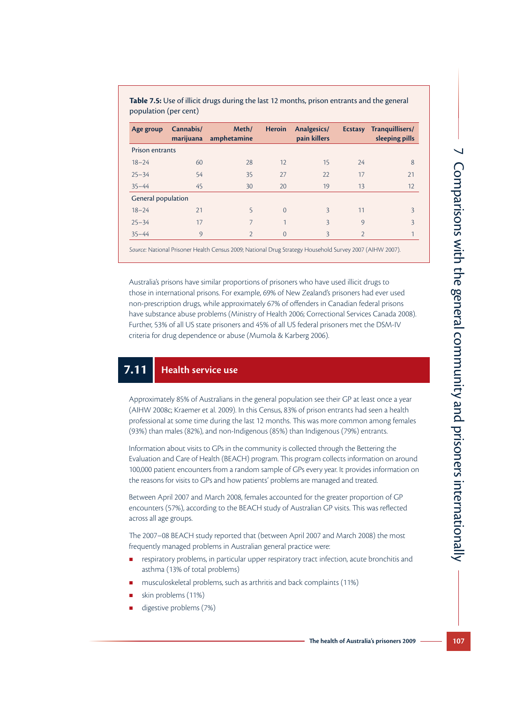$\overline{\phantom{0}}$ 

| Age group              | Cannabis/<br>marijuana | Meth/<br>amphetamine | <b>Heroin</b> | Analgesics/<br>pain killers |                | Ecstasy Tranquillisers/<br>sleeping pills |  |
|------------------------|------------------------|----------------------|---------------|-----------------------------|----------------|-------------------------------------------|--|
| <b>Prison entrants</b> |                        |                      |               |                             |                |                                           |  |
| $18 - 24$              | 60                     | 28                   | 12            | 15                          | 24             | 8                                         |  |
| $25 - 34$              | 54                     | 35                   | 27            | 22                          | 17             | 21                                        |  |
| $35 - 44$              | 45                     | 30                   | 20            | 19                          | 13             | 12                                        |  |
| General population     |                        |                      |               |                             |                |                                           |  |
| $18 - 24$              | 21                     | 5                    | $\Omega$      | $\overline{3}$              | 11             | 3                                         |  |
| $25 - 34$              | 17                     | 7                    | $\mathbf{1}$  | 3                           | 9              | 3                                         |  |
| $35 - 44$              | 9                      | 2                    | $\Omega$      | 3                           | $\overline{2}$ |                                           |  |

**Table 7.5:** Use of illicit drugs during the last 12 months, prison entrants and the general population (per cent)

*Source:* National Prisoner Health Census 2009; National Drug Strategy Household Survey 2007 (AIHW 2007).

Australia's prisons have similar proportions of prisoners who have used illicit drugs to those in international prisons. For example, 69% of New Zealand's prisoners had ever used non-prescription drugs, while approximately 67% of offenders in Canadian federal prisons have substance abuse problems (Ministry of Health 2006; Correctional Services Canada 2008). Further, 53% of all US state prisoners and 45% of all US federal prisoners met the DSM-IV criteria for drug dependence or abuse (Mumola & Karberg 2006).

#### **7.11 Health service use**

Approximately 85% of Australians in the general population see their GP at least once a year (AIHW 2008c; Kraemer et al. 2009). In this Census, 83% of prison entrants had seen a health professional at some time during the last 12 months. This was more common among females (93%) than males (82%), and non-Indigenous (85%) than Indigenous (79%) entrants.

Information about visits to GPs in the community is collected through the Bettering the Evaluation and Care of Health (BEACH) program. This program collects information on around 100,000 patient encounters from a random sample of GPs every year. It provides information on the reasons for visits to GPs and how patients' problems are managed and treated.

Between April 2007 and March 2008, females accounted for the greater proportion of GP encounters (57%), according to the BEACH study of Australian GP visits. This was reflected across all age groups.

The 2007–08 BEACH study reported that (between April 2007 and March 2008) the most frequently managed problems in Australian general practice were:

- **EXECT:** respiratory problems, in particular upper respiratory tract infection, acute bronchitis and asthma (13% of total problems)
- musculoskeletal problems, such as arthritis and back complaints (11%)
- skin problems (11%)
- digestive problems (7%)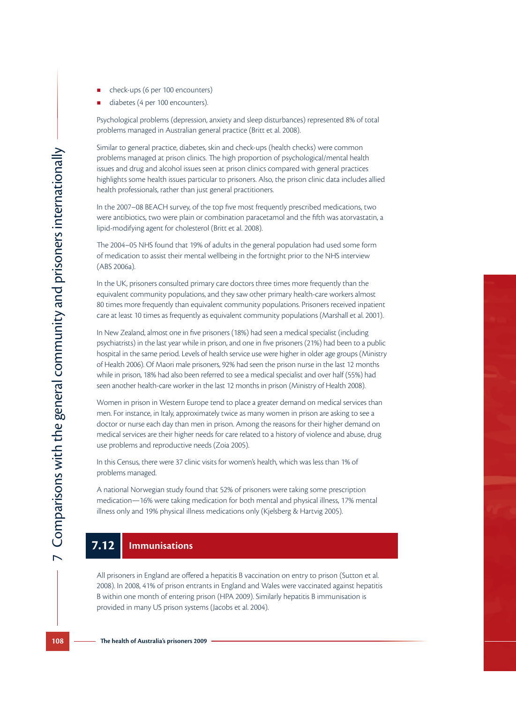- 
- diabetes (4 per 100 encounters).

Psychological problems (depression, anxiety and sleep disturbances) represented 8% of total problems managed in Australian general practice (Britt et al. 2008).

■ check-ups (6 per 100 encounters)<br>
■ ciabetes (4 per 100 encounters).<br> **P**sychological problems (depression, anxiety and sleep disturbances) represented 8% of total<br>
problems managed in Australian general practice (Britt Similar to general practice, diabetes, skin and check-ups (health checks) were common problems managed at prison clinics. The high proportion of psychological/mental health issues and drug and alcohol issues seen at prison clinics compared with general practices highlights some health issues particular to prisoners. Also, the prison clinic data includes allied health professionals, rather than just general practitioners.

In the 2007–08 BEACH survey, of the top five most frequently prescribed medications, two were antibiotics, two were plain or combination paracetamol and the fifth was atorvastatin, a lipid-modifying agent for cholesterol (Britt et al. 2008).

The 2004–05 NHS found that 19% of adults in the general population had used some form of medication to assist their mental wellbeing in the fortnight prior to the NHS interview (ABS 2006a).

In the UK, prisoners consulted primary care doctors three times more frequently than the equivalent community populations, and they saw other primary health-care workers almost 80 times more frequently than equivalent community populations. Prisoners received inpatient care at least 10 times as frequently as equivalent community populations (Marshall et al. 2001).

In New Zealand, almost one in five prisoners (18%) had seen a medical specialist (including psychiatrists) in the last year while in prison, and one in five prisoners (21%) had been to a public hospital in the same period. Levels of health service use were higher in older age groups (Ministry of Health 2006). Of Maori male prisoners, 92% had seen the prison nurse in the last 12 months while in prison, 18% had also been referred to see a medical specialist and over half (55%) had seen another health-care worker in the last 12 months in prison (Ministry of Health 2008).

Women in prison in Western Europe tend to place a greater demand on medical services than men. For instance, in Italy, approximately twice as many women in prison are asking to see a doctor or nurse each day than men in prison. Among the reasons for their higher demand on medical services are their higher needs for care related to a history of violence and abuse, drug use problems and reproductive needs (Zoia 2005).

In this Census, there were 37 clinic visits for women's health, which was less than 1% of problems managed.

A national Norwegian study found that 52% of prisoners were taking some prescription medication—16% were taking medication for both mental and physical illness, 17% mental illness only and 19% physical illness medications only (Kjelsberg & Hartvig 2005).

#### **7.12 Immunisations**

All prisoners in England are offered a hepatitis B vaccination on entry to prison (Sutton et al. 2008). In 2008, 41% of prison entrants in England and Wales were vaccinated against hepatitis B within one month of entering prison (HPA 2009). Similarly hepatitis B immunisation is provided in many US prison systems (Jacobs et al. 2004).